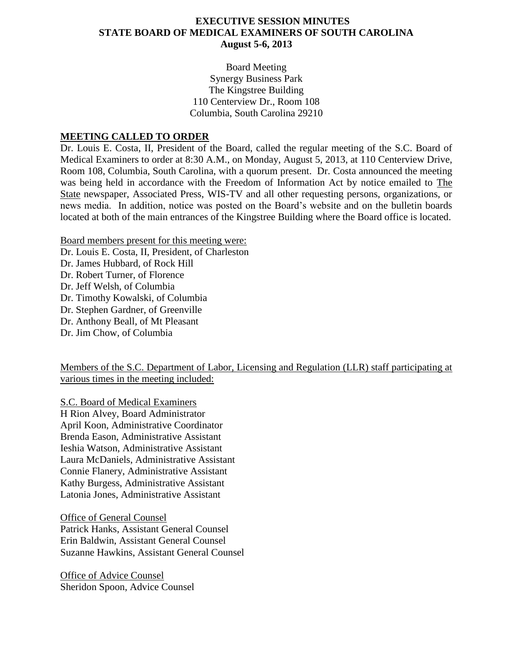## **EXECUTIVE SESSION MINUTES STATE BOARD OF MEDICAL EXAMINERS OF SOUTH CAROLINA August 5-6, 2013**

Board Meeting Synergy Business Park The Kingstree Building 110 Centerview Dr., Room 108 Columbia, South Carolina 29210

## **MEETING CALLED TO ORDER**

Dr. Louis E. Costa, II, President of the Board, called the regular meeting of the S.C. Board of Medical Examiners to order at 8:30 A.M., on Monday, August 5, 2013, at 110 Centerview Drive, Room 108, Columbia, South Carolina, with a quorum present. Dr. Costa announced the meeting was being held in accordance with the Freedom of Information Act by notice emailed to The State newspaper, Associated Press, WIS-TV and all other requesting persons, organizations, or news media. In addition, notice was posted on the Board's website and on the bulletin boards located at both of the main entrances of the Kingstree Building where the Board office is located.

Board members present for this meeting were:

Dr. Louis E. Costa, II, President, of Charleston

- Dr. James Hubbard, of Rock Hill
- Dr. Robert Turner, of Florence
- Dr. Jeff Welsh, of Columbia
- Dr. Timothy Kowalski, of Columbia
- Dr. Stephen Gardner, of Greenville
- Dr. Anthony Beall, of Mt Pleasant
- Dr. Jim Chow, of Columbia

Members of the S.C. Department of Labor, Licensing and Regulation (LLR) staff participating at various times in the meeting included:

S.C. Board of Medical Examiners H Rion Alvey, Board Administrator April Koon, Administrative Coordinator Brenda Eason, Administrative Assistant Ieshia Watson, Administrative Assistant Laura McDaniels, Administrative Assistant Connie Flanery, Administrative Assistant Kathy Burgess, Administrative Assistant Latonia Jones, Administrative Assistant

Office of General Counsel Patrick Hanks, Assistant General Counsel Erin Baldwin, Assistant General Counsel Suzanne Hawkins, Assistant General Counsel

Office of Advice Counsel Sheridon Spoon, Advice Counsel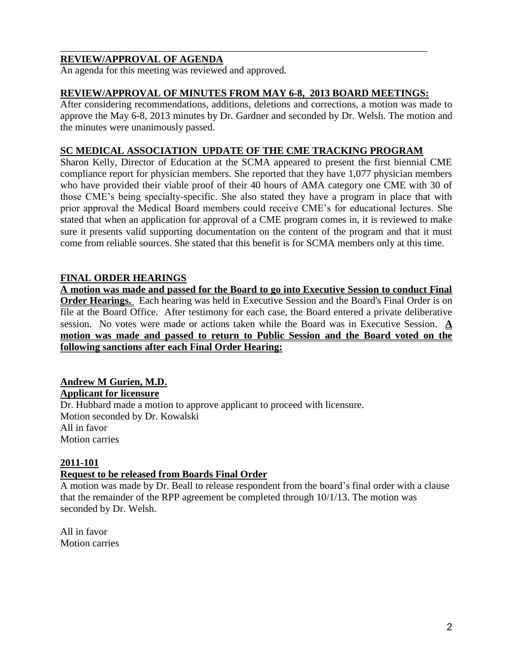## **REVIEW/APPROVAL OF AGENDA**

An agenda for this meeting was reviewed and approved.

## **REVIEW/APPROVAL OF MINUTES FROM MAY 6-8, 2013 BOARD MEETINGS:**

\_\_\_\_\_\_\_\_\_\_\_\_\_\_\_\_\_\_\_\_\_\_\_\_\_\_\_\_\_\_\_\_\_\_\_\_\_\_\_\_\_\_\_\_\_\_\_\_\_\_\_\_\_\_\_\_\_\_\_\_\_\_\_\_\_\_\_\_\_\_\_\_\_

After considering recommendations, additions, deletions and corrections, a motion was made to approve the May 6-8, 2013 minutes by Dr. Gardner and seconded by Dr. Welsh. The motion and the minutes were unanimously passed.

## **SC MEDICAL ASSOCIATION UPDATE OF THE CME TRACKING PROGRAM**

Sharon Kelly, Director of Education at the SCMA appeared to present the first biennial CME compliance report for physician members. She reported that they have 1,077 physician members who have provided their viable proof of their 40 hours of AMA category one CME with 30 of those CME's being specialty-specific. She also stated they have a program in place that with prior approval the Medical Board members could receive CME's for educational lectures. She stated that when an application for approval of a CME program comes in, it is reviewed to make sure it presents valid supporting documentation on the content of the program and that it must come from reliable sources. She stated that this benefit is for SCMA members only at this time.

## **FINAL ORDER HEARINGS**

**A motion was made and passed for the Board to go into Executive Session to conduct Final Order Hearings.** Each hearing was held in Executive Session and the Board's Final Order is on file at the Board Office. After testimony for each case, the Board entered a private deliberative session. No votes were made or actions taken while the Board was in Executive Session. **A motion was made and passed to return to Public Session and the Board voted on the following sanctions after each Final Order Hearing:**

#### **Andrew M Gurien, M.D. Applicant for licensure**

Dr. Hubbard made a motion to approve applicant to proceed with licensure. Motion seconded by Dr. Kowalski All in favor Motion carries

#### **2011-101**

## **Request to be released from Boards Final Order**

A motion was made by Dr. Beall to release respondent from the board's final order with a clause that the remainder of the RPP agreement be completed through 10/1/13. The motion was seconded by Dr. Welsh.

All in favor Motion carries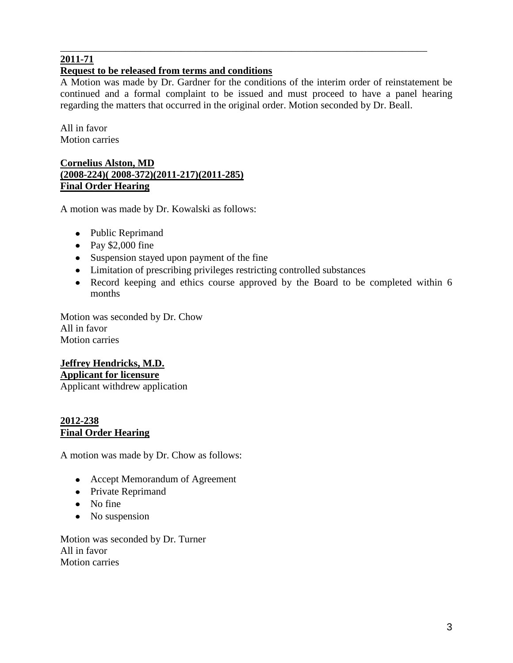# **2011-71**

# **Request to be released from terms and conditions**

A Motion was made by Dr. Gardner for the conditions of the interim order of reinstatement be continued and a formal complaint to be issued and must proceed to have a panel hearing regarding the matters that occurred in the original order. Motion seconded by Dr. Beall.

\_\_\_\_\_\_\_\_\_\_\_\_\_\_\_\_\_\_\_\_\_\_\_\_\_\_\_\_\_\_\_\_\_\_\_\_\_\_\_\_\_\_\_\_\_\_\_\_\_\_\_\_\_\_\_\_\_\_\_\_\_\_\_\_\_\_\_\_\_\_\_\_\_

All in favor Motion carries

## **Cornelius Alston, MD (2008-224)( 2008-372)(2011-217)(2011-285) Final Order Hearing**

A motion was made by Dr. Kowalski as follows:

- Public Reprimand
- Pay  $$2,000$  fine
- Suspension stayed upon payment of the fine
- Limitation of prescribing privileges restricting controlled substances
- Record keeping and ethics course approved by the Board to be completed within 6 months

Motion was seconded by Dr. Chow All in favor Motion carries

# **Jeffrey Hendricks, M.D. Applicant for licensure**

Applicant withdrew application

## **2012-238 Final Order Hearing**

A motion was made by Dr. Chow as follows:

- Accept Memorandum of Agreement
- Private Reprimand
- No fine
- No suspension

Motion was seconded by Dr. Turner All in favor Motion carries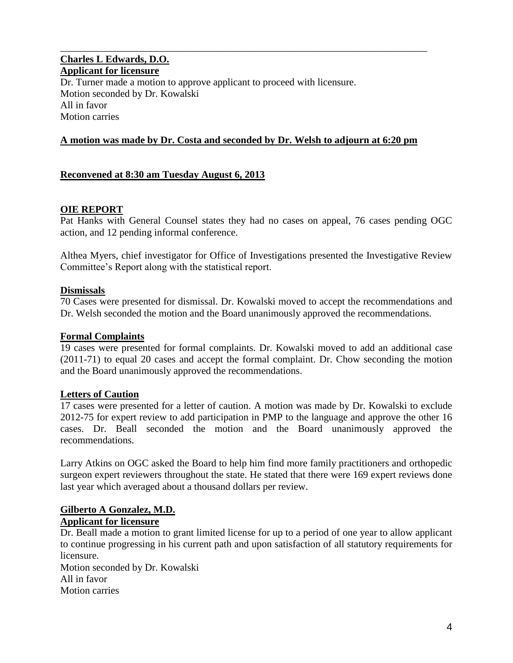## **Charles L Edwards, D.O. Applicant for licensure** Dr. Turner made a motion to approve applicant to proceed with licensure. Motion seconded by Dr. Kowalski All in favor Motion carries

#### **A motion was made by Dr. Costa and seconded by Dr. Welsh to adjourn at 6:20 pm**

\_\_\_\_\_\_\_\_\_\_\_\_\_\_\_\_\_\_\_\_\_\_\_\_\_\_\_\_\_\_\_\_\_\_\_\_\_\_\_\_\_\_\_\_\_\_\_\_\_\_\_\_\_\_\_\_\_\_\_\_\_\_\_\_\_\_\_\_\_\_\_\_\_

#### **Reconvened at 8:30 am Tuesday August 6, 2013**

#### **OIE REPORT**

Pat Hanks with General Counsel states they had no cases on appeal, 76 cases pending OGC action, and 12 pending informal conference.

Althea Myers, chief investigator for Office of Investigations presented the Investigative Review Committee's Report along with the statistical report.

#### **Dismissals**

70 Cases were presented for dismissal. Dr. Kowalski moved to accept the recommendations and Dr. Welsh seconded the motion and the Board unanimously approved the recommendations.

#### **Formal Complaints**

19 cases were presented for formal complaints. Dr. Kowalski moved to add an additional case (2011-71) to equal 20 cases and accept the formal complaint. Dr. Chow seconding the motion and the Board unanimously approved the recommendations.

#### **Letters of Caution**

17 cases were presented for a letter of caution. A motion was made by Dr. Kowalski to exclude 2012-75 for expert review to add participation in PMP to the language and approve the other 16 cases. Dr. Beall seconded the motion and the Board unanimously approved the recommendations.

Larry Atkins on OGC asked the Board to help him find more family practitioners and orthopedic surgeon expert reviewers throughout the state. He stated that there were 169 expert reviews done last year which averaged about a thousand dollars per review.

## **Gilberto A Gonzalez, M.D.**

#### **Applicant for licensure**

Dr. Beall made a motion to grant limited license for up to a period of one year to allow applicant to continue progressing in his current path and upon satisfaction of all statutory requirements for licensure.

Motion seconded by Dr. Kowalski All in favor Motion carries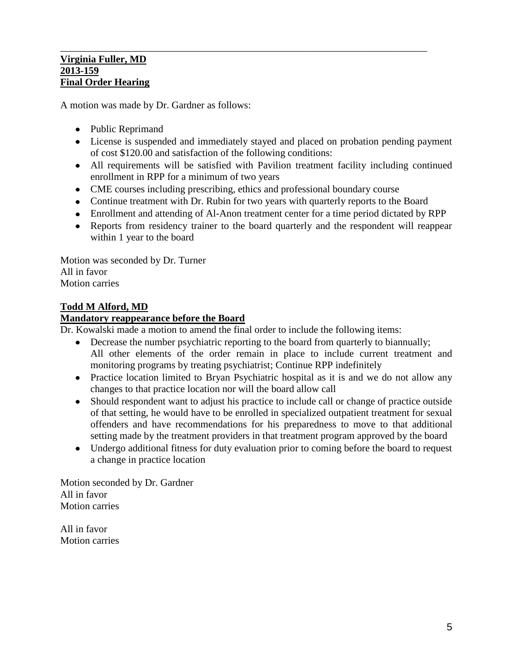#### \_\_\_\_\_\_\_\_\_\_\_\_\_\_\_\_\_\_\_\_\_\_\_\_\_\_\_\_\_\_\_\_\_\_\_\_\_\_\_\_\_\_\_\_\_\_\_\_\_\_\_\_\_\_\_\_\_\_\_\_\_\_\_\_\_\_\_\_\_\_\_\_\_ **Virginia Fuller, MD 2013-159 Final Order Hearing**

A motion was made by Dr. Gardner as follows:

- Public Reprimand
- License is suspended and immediately stayed and placed on probation pending payment of cost \$120.00 and satisfaction of the following conditions:
- All requirements will be satisfied with Pavilion treatment facility including continued enrollment in RPP for a minimum of two years
- CME courses including prescribing, ethics and professional boundary course
- Continue treatment with Dr. Rubin for two years with quarterly reports to the Board
- Enrollment and attending of Al-Anon treatment center for a time period dictated by RPP
- Reports from residency trainer to the board quarterly and the respondent will reappear within 1 year to the board

Motion was seconded by Dr. Turner All in favor Motion carries

## **Todd M Alford, MD**

#### **Mandatory reappearance before the Board**

Dr. Kowalski made a motion to amend the final order to include the following items:

- Decrease the number psychiatric reporting to the board from quarterly to biannually; All other elements of the order remain in place to include current treatment and monitoring programs by treating psychiatrist; Continue RPP indefinitely
- Practice location limited to Bryan Psychiatric hospital as it is and we do not allow any changes to that practice location nor will the board allow call
- Should respondent want to adjust his practice to include call or change of practice outside of that setting, he would have to be enrolled in specialized outpatient treatment for sexual offenders and have recommendations for his preparedness to move to that additional setting made by the treatment providers in that treatment program approved by the board
- Undergo additional fitness for duty evaluation prior to coming before the board to request a change in practice location

Motion seconded by Dr. Gardner All in favor Motion carries

All in favor Motion carries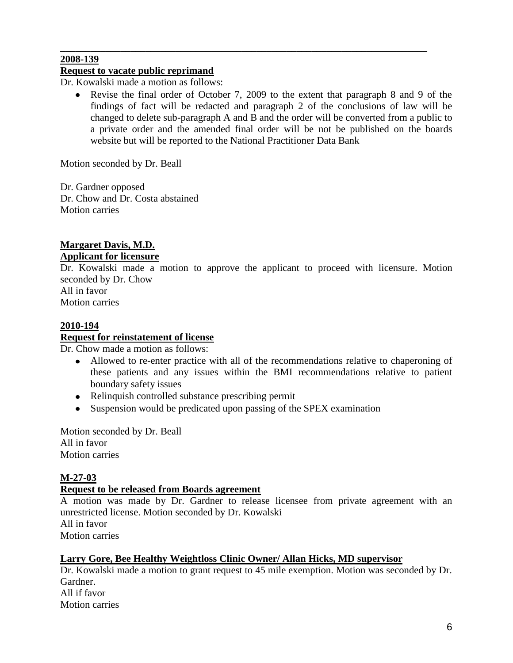#### **2008-139**

## **Request to vacate public reprimand**

Dr. Kowalski made a motion as follows:

 $\bullet$ Revise the final order of October 7, 2009 to the extent that paragraph 8 and 9 of the findings of fact will be redacted and paragraph 2 of the conclusions of law will be changed to delete sub-paragraph A and B and the order will be converted from a public to a private order and the amended final order will be not be published on the boards website but will be reported to the National Practitioner Data Bank

\_\_\_\_\_\_\_\_\_\_\_\_\_\_\_\_\_\_\_\_\_\_\_\_\_\_\_\_\_\_\_\_\_\_\_\_\_\_\_\_\_\_\_\_\_\_\_\_\_\_\_\_\_\_\_\_\_\_\_\_\_\_\_\_\_\_\_\_\_\_\_\_\_

Motion seconded by Dr. Beall

Dr. Gardner opposed Dr. Chow and Dr. Costa abstained Motion carries

## **Margaret Davis, M.D. Applicant for licensure**

Dr. Kowalski made a motion to approve the applicant to proceed with licensure. Motion seconded by Dr. Chow

All in favor Motion carries

## **2010-194**

## **Request for reinstatement of license**

Dr. Chow made a motion as follows:

- Allowed to re-enter practice with all of the recommendations relative to chaperoning of these patients and any issues within the BMI recommendations relative to patient boundary safety issues
- Relinquish controlled substance prescribing permit
- Suspension would be predicated upon passing of the SPEX examination

Motion seconded by Dr. Beall All in favor Motion carries

## **M-27-03**

#### **Request to be released from Boards agreement**

A motion was made by Dr. Gardner to release licensee from private agreement with an unrestricted license. Motion seconded by Dr. Kowalski All in favor Motion carries

#### **Larry Gore, Bee Healthy Weightloss Clinic Owner/ Allan Hicks, MD supervisor**

Dr. Kowalski made a motion to grant request to 45 mile exemption. Motion was seconded by Dr. Gardner. All if favor Motion carries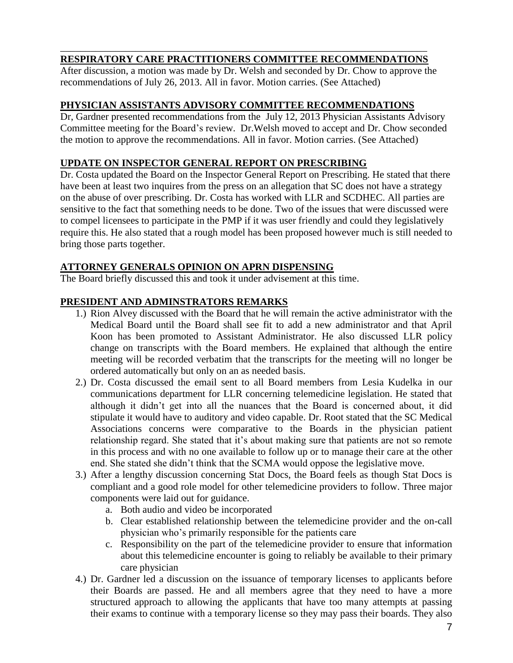#### \_\_\_\_\_\_\_\_\_\_\_\_\_\_\_\_\_\_\_\_\_\_\_\_\_\_\_\_\_\_\_\_\_\_\_\_\_\_\_\_\_\_\_\_\_\_\_\_\_\_\_\_\_\_\_\_\_\_\_\_\_\_\_\_\_\_\_\_\_\_\_\_\_ **RESPIRATORY CARE PRACTITIONERS COMMITTEE RECOMMENDATIONS**

After discussion, a motion was made by Dr. Welsh and seconded by Dr. Chow to approve the recommendations of July 26, 2013. All in favor. Motion carries. (See Attached)

## **PHYSICIAN ASSISTANTS ADVISORY COMMITTEE RECOMMENDATIONS**

Dr, Gardner presented recommendations from the July 12, 2013 Physician Assistants Advisory Committee meeting for the Board's review. Dr.Welsh moved to accept and Dr. Chow seconded the motion to approve the recommendations. All in favor. Motion carries. (See Attached)

## **UPDATE ON INSPECTOR GENERAL REPORT ON PRESCRIBING**

Dr. Costa updated the Board on the Inspector General Report on Prescribing. He stated that there have been at least two inquires from the press on an allegation that SC does not have a strategy on the abuse of over prescribing. Dr. Costa has worked with LLR and SCDHEC. All parties are sensitive to the fact that something needs to be done. Two of the issues that were discussed were to compel licensees to participate in the PMP if it was user friendly and could they legislatively require this. He also stated that a rough model has been proposed however much is still needed to bring those parts together.

## **ATTORNEY GENERALS OPINION ON APRN DISPENSING**

The Board briefly discussed this and took it under advisement at this time.

## **PRESIDENT AND ADMINSTRATORS REMARKS**

- 1.) Rion Alvey discussed with the Board that he will remain the active administrator with the Medical Board until the Board shall see fit to add a new administrator and that April Koon has been promoted to Assistant Administrator. He also discussed LLR policy change on transcripts with the Board members. He explained that although the entire meeting will be recorded verbatim that the transcripts for the meeting will no longer be ordered automatically but only on an as needed basis.
- 2.) Dr. Costa discussed the email sent to all Board members from Lesia Kudelka in our communications department for LLR concerning telemedicine legislation. He stated that although it didn't get into all the nuances that the Board is concerned about, it did stipulate it would have to auditory and video capable. Dr. Root stated that the SC Medical Associations concerns were comparative to the Boards in the physician patient relationship regard. She stated that it's about making sure that patients are not so remote in this process and with no one available to follow up or to manage their care at the other end. She stated she didn't think that the SCMA would oppose the legislative move.
- 3.) After a lengthy discussion concerning Stat Docs, the Board feels as though Stat Docs is compliant and a good role model for other telemedicine providers to follow. Three major components were laid out for guidance.
	- a. Both audio and video be incorporated
	- b. Clear established relationship between the telemedicine provider and the on-call physician who's primarily responsible for the patients care
	- c. Responsibility on the part of the telemedicine provider to ensure that information about this telemedicine encounter is going to reliably be available to their primary care physician
- 4.) Dr. Gardner led a discussion on the issuance of temporary licenses to applicants before their Boards are passed. He and all members agree that they need to have a more structured approach to allowing the applicants that have too many attempts at passing their exams to continue with a temporary license so they may pass their boards. They also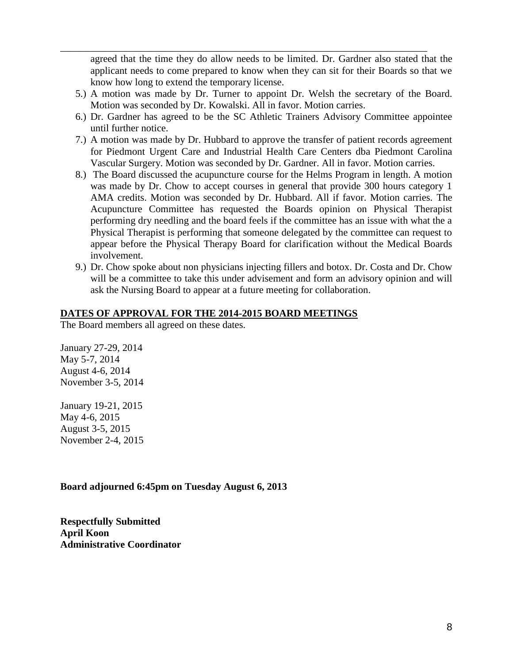agreed that the time they do allow needs to be limited. Dr. Gardner also stated that the applicant needs to come prepared to know when they can sit for their Boards so that we know how long to extend the temporary license.

5.) A motion was made by Dr. Turner to appoint Dr. Welsh the secretary of the Board. Motion was seconded by Dr. Kowalski. All in favor. Motion carries.

\_\_\_\_\_\_\_\_\_\_\_\_\_\_\_\_\_\_\_\_\_\_\_\_\_\_\_\_\_\_\_\_\_\_\_\_\_\_\_\_\_\_\_\_\_\_\_\_\_\_\_\_\_\_\_\_\_\_\_\_\_\_\_\_\_\_\_\_\_\_\_\_\_

- 6.) Dr. Gardner has agreed to be the SC Athletic Trainers Advisory Committee appointee until further notice.
- 7.) A motion was made by Dr. Hubbard to approve the transfer of patient records agreement for Piedmont Urgent Care and Industrial Health Care Centers dba Piedmont Carolina Vascular Surgery. Motion was seconded by Dr. Gardner. All in favor. Motion carries.
- 8.) The Board discussed the acupuncture course for the Helms Program in length. A motion was made by Dr. Chow to accept courses in general that provide 300 hours category 1 AMA credits. Motion was seconded by Dr. Hubbard. All if favor. Motion carries. The Acupuncture Committee has requested the Boards opinion on Physical Therapist performing dry needling and the board feels if the committee has an issue with what the a Physical Therapist is performing that someone delegated by the committee can request to appear before the Physical Therapy Board for clarification without the Medical Boards involvement.
- 9.) Dr. Chow spoke about non physicians injecting fillers and botox. Dr. Costa and Dr. Chow will be a committee to take this under advisement and form an advisory opinion and will ask the Nursing Board to appear at a future meeting for collaboration.

## **DATES OF APPROVAL FOR THE 2014-2015 BOARD MEETINGS**

The Board members all agreed on these dates.

January 27-29, 2014 May 5-7, 2014 August 4-6, 2014 November 3-5, 2014

January 19-21, 2015 May 4-6, 2015 August 3-5, 2015 November 2-4, 2015

## **Board adjourned 6:45pm on Tuesday August 6, 2013**

**Respectfully Submitted April Koon Administrative Coordinator**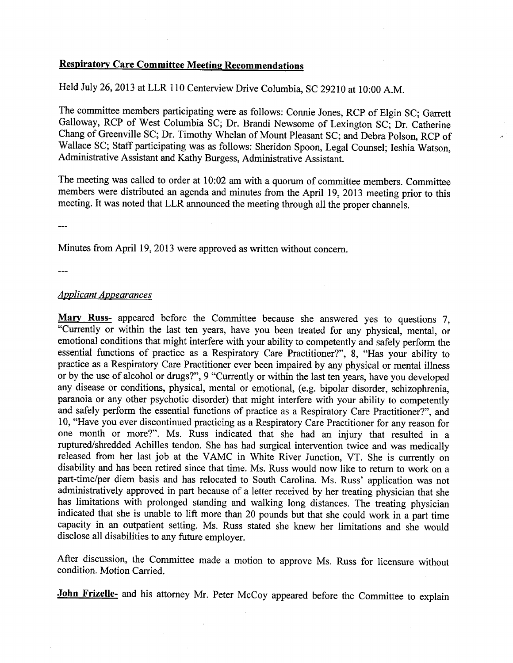## **Respiratory Care Committee Meeting Recommendations**

Held July 26,2013 at LLR 110 Centerview Drive Columbia, SC 29210 at 10:00 A.M.

The committee members participating were as follows: Connie Jones, RCP of Elgin SC; Garrett Galloway, RCP of West Columbia SC; Dr. Brandi Newsome of Lexington SC; Dr. Catherine Chang of Greenville SC; Dr. Timothy Whelan of Mount Pleasant SC; and Debra Polson, RCP of Wallace SC; Staff participating was as follows: Sheridon Spoon, Legal Counsel; Ieshia Watson, Administrative Assistant and Kathy Burgess, Administrative Assistant.

The meeting was called to order at 10:02 am with a quorum of committee members. Committee members were distributed an agenda and minutes from the April 19, 2013 meeting prior to this meeting. It was noted that LLR announced the meeting through all the proper channels.

Minutes from April 19, 2013 were approved as written without concern.

#### *Applicant Appearances*

**Mary Russ-** appeared before the Committee because she answered yes to questions 7, "Currently or within the last ten years, have you been treated for any physical, mental, or emotional conditions that might interfere with your ability to competently and safely perform the essential functions of practice as a Respiratory Care Practitioner?", 8, "Has your ability to practice as a Respiratory Care Practitioner ever been impaired by any physical or mental illness or by the use of alcohol or drugs?", 9 "Currently or within the last ten years, have you developed any disease or conditions, physical, mental or emotional, (e.g. bipolar disorder, schizophrenia, paranoia or any other psychotic disorder) that might interfere with your ability to competently and safely perform the essential functions of practice as a Respiratory Care Practitioner?", and 10, "Have you ever discontinued practicing as a Respiratory Care Practitioner for any reason for one month or more?". Ms. Russ indicated that she had an injury that resulted in a ruptured/shredded Achilles tendon. She has had surgical intervention twice and was medically released from her last job at the VAMC in White River Junction, VT. She is currently on disability and has been retired since that time. Ms. Russ would now like to return to work on a part-time/per diem basis and has relocated to South Carolina. Ms. Russ' application was not administratively approved in part because of a letter received by her treating physician that she has limitations with prolonged standing and walking long distances. The treating physician indicated that she is unable to lift more than 20 pounds but that she could work in a part time capacity in an outpatient setting. Ms. Russ stated she knew her limitations and she would disclose all disabilities to any future employer.

After discussion, the Committee made a motion to approve Ms. Russ for licensure without condition. Motion Carried.

**John Frizelle-** and his attorney Mr. Peter McCoy appeared before the Committee to explain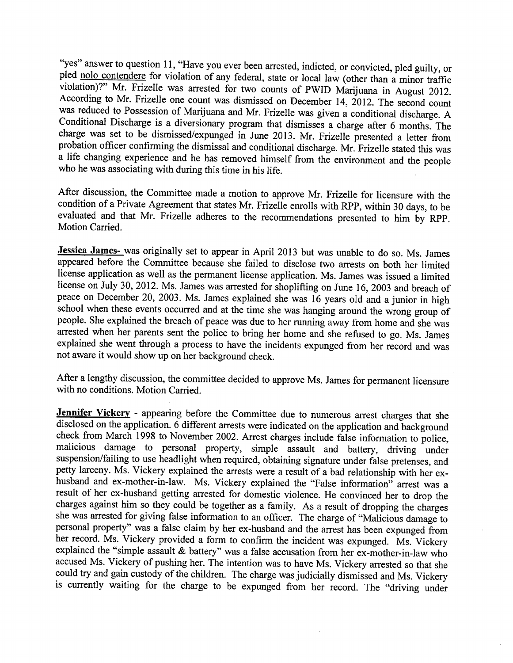"yes" answer to question 11, "Have you ever been arrested, indicted, or convicted, pled guilty, or pled nolo contendere for violation of any federal, state or local law (other than a minor traffic violation)?" Mr. Frizelle was arrested for two counts of PWID Marijuana in August 2012. According to Mr. Frizelle one count was dismissed on December 14, 2012. The second count was reduced to Possession of Marijuana and Mr. Frizelle was given a conditional discharge. A Conditional Discharge is a diversionary program that dismisses a charge after 6 months. The charge was set to be dismissed/expunged in June 2013. Mr. Frizelle presented a letter from probation officer confirming the dismissal and conditional discharge. Mr. Frizelle stated this was a life changing experience and he has removed himself from the environment and the people who he was associating with during this time in his life.

After discussion, the Committee made a motion to approve Mr. Frizelle for licensure with the condition of a Private Agreement that states Mr. Frizelle enrolls with RPP, within 30 days, to be evaluated and that Mr. Frizelle adheres to the recommendations presented to him by RPP. Motion Carried.

Jessica James- was originally set to appear in April 2013 but was unable to do so. Ms. James appeared before the Committee because she failed to disclose two arrests on both her limited license application as well as the permanent license application. Ms. James was issued a limited license on July 30, 2012. Ms. James was arrested for shoplifting on June 16, 2003 and breach of peace on December 20, 2003. Ms. James explained she was 16 years old and a junior in high school when these events occurred and at the time she was hanging around the wrong group of people. She explained the breach of peace was due to her running away from home and she was arrested when her parents sent the police to bring her home and she refused to go. Ms. James explained she went through a process to have the incidents expunged from her record and was not aware it would show up on her background check.

After a lengthy discussion, the committee decided to approve Ms. James for permanent licensure with no conditions. Motion Carried.

Jennifer Vickery - appearing before the Committee due to numerous arrest charges that she disclosed on the application. 6 different arrests were indicated on the application and background check from March 1998 to November 2002. Arrest charges include false information to police, malicious damage to personal property, simple assault and battery, driving under suspension/failing to use headlight when required, obtaining signature under false pretenses, and petty larceny. Ms. Vickery explained the arrests were a result of a bad relationship with her exhusband and ex-mother-in-law. Ms. Vickery explained the "False information" arrest was a result of her ex-husband getting arrested for domestic violence. He convinced her to drop the charges against him so they could be together as a family. As a result of dropping the charges she was arrested for giving false information to an officer. The charge of "Malicious damage to personal property" was a false claim by her ex-husband and the arrest has been expunged from her record. Ms. Vickery provided a form to confirm the incident was expunged. Ms. Vickery explained the "simple assault & battery" was a false accusation from her ex-mother-in-law who accused Ms. Vickery of pushing her. The intention was to have Ms. Vickery arrested so that she could try and gain custody of the children. The charge was judicially dismissed and Ms. Vickery is currently waiting for the charge to be expunged from her record. The "driving under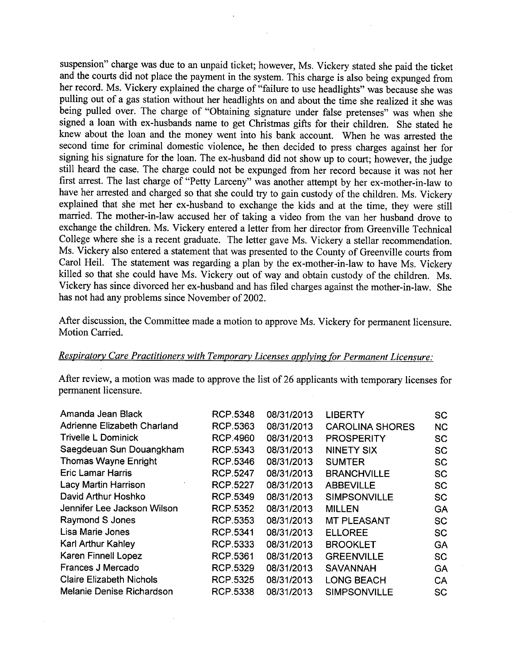suspension" charge was due to an unpaid ticket; however, Ms. Vickery stated she paid the ticket and the courts did not place the payment in the system. This charge is also being expunged from her record. Ms. Vickery explained the charge of "failure to use headlights" was because she was pulling out of a gas station without her headlights on and about the time she realized it she was being pulled over. The charge of "Obtaining signature under false pretenses" was when she signed a loan with ex-husbands name to get Christmas gifts for their children. She stated he knew about the loan and the money went into his bank account. When he was arrested the second time for criminal domestic violence, he then decided to press charges against her for signing his signature for the loan. The ex-husband did not show up to court; however, the judge still heard the case. The charge could not be expunged from her record because it was not her first arrest. The last charge of "Petty Larceny" was another attempt by her ex-mother-in-Iaw to have her arrested and charged so that she could try to gain custody of the children. Ms. Vickery explained that she met her ex-husband to exchange the kids and at the time, they were still married. The mother-in-law accused her of taking a video from the van her husband drove to exchange the children. Ms. Vickery entered a letter from her director from Greenville Technical College where she is a recent graduate. The letter gave Ms. Vickery a stellar recommendation. Ms. Vickery also entered a statement that was presented to the County of Greenville courts from Carol Heil. The statement was regarding a plan by the ex-mother-in-Iaw to have Ms. Vickery killed so that she could have Ms. Vickery out of way and obtain custody of the children. Ms. Vickery has since divorced her ex-husband and has filed charges against the mother-in-law. She has not had any problems since November of 2002.

After discussion, the Committee made a motion to approve Ms. Vickery for permanent licensure. Motion Carried.

# *Respiratorv Care Practitioners with Temporary Licenses applying for Permanent Licensure:*

After review, a motion was made to approve the list of 26 applicants with temporary licenses for permanent licensure.

| Amanda Jean Black               | <b>RCP.5348</b> | 08/31/2013 | <b>LIBERTY</b>         | <b>SC</b> |
|---------------------------------|-----------------|------------|------------------------|-----------|
| Adrienne Elizabeth Charland     | RCP.5363        | 08/31/2013 | <b>CAROLINA SHORES</b> | <b>NC</b> |
| <b>Trivelle L Dominick</b>      | <b>RCP.4960</b> | 08/31/2013 | <b>PROSPERITY</b>      | <b>SC</b> |
| Saegdeuan Sun Douangkham        | RCP.5343        | 08/31/2013 | <b>NINETY SIX</b>      | <b>SC</b> |
| <b>Thomas Wayne Enright</b>     | <b>RCP.5346</b> | 08/31/2013 | <b>SUMTER</b>          | <b>SC</b> |
| <b>Eric Lamar Harris</b>        | <b>RCP.5247</b> | 08/31/2013 | <b>BRANCHVILLE</b>     | <b>SC</b> |
| Lacy Martin Harrison            | <b>RCP.5227</b> | 08/31/2013 | <b>ABBEVILLE</b>       | <b>SC</b> |
| David Arthur Hoshko             | RCP.5349        | 08/31/2013 | <b>SIMPSONVILLE</b>    | <b>SC</b> |
| Jennifer Lee Jackson Wilson     | RCP.5352        | 08/31/2013 | <b>MILLEN</b>          | <b>GA</b> |
| <b>Raymond S Jones</b>          | RCP.5353        | 08/31/2013 | <b>MT PLEASANT</b>     | <b>SC</b> |
| Lisa Marie Jones                | RCP.5341        | 08/31/2013 | <b>ELLOREE</b>         | <b>SC</b> |
| <b>Karl Arthur Kahley</b>       | RCP.5333        | 08/31/2013 | <b>BROOKLET</b>        | GA        |
| Karen Finnell Lopez             | RCP.5361        | 08/31/2013 | <b>GREENVILLE</b>      | <b>SC</b> |
| Frances J Mercado               | <b>RCP.5329</b> | 08/31/2013 | <b>SAVANNAH</b>        | <b>GA</b> |
| <b>Claire Elizabeth Nichols</b> | RCP.5325        | 08/31/2013 | <b>LONG BEACH</b>      | CA        |
| Melanie Denise Richardson       | <b>RCP.5338</b> | 08/31/2013 | <b>SIMPSONVILLE</b>    | <b>SC</b> |
|                                 |                 |            |                        |           |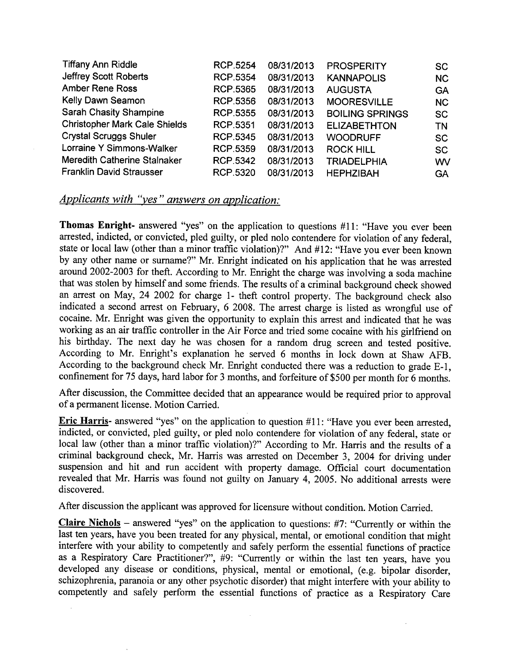| <b>Tiffany Ann Riddle</b>            | <b>RCP.5254</b> | 08/31/2013 | <b>PROSPERITY</b>      | <b>SC</b> |
|--------------------------------------|-----------------|------------|------------------------|-----------|
| Jeffrey Scott Roberts                | <b>RCP.5354</b> | 08/31/2013 | <b>KANNAPOLIS</b>      | <b>NC</b> |
| <b>Amber Rene Ross</b>               | <b>RCP.5365</b> | 08/31/2013 | <b>AUGUSTA</b>         | <b>GA</b> |
| Kelly Dawn Seamon                    | RCP.5356        | 08/31/2013 | <b>MOORESVILLE</b>     | <b>NC</b> |
| <b>Sarah Chasity Shampine</b>        | <b>RCP.5355</b> | 08/31/2013 | <b>BOILING SPRINGS</b> | <b>SC</b> |
| <b>Christopher Mark Cale Shields</b> | <b>RCP.5351</b> | 08/31/2013 | <b>ELIZABETHTON</b>    | TN        |
| <b>Crystal Scruggs Shuler</b>        | <b>RCP.5345</b> | 08/31/2013 | <b>WOODRUFF</b>        | <b>SC</b> |
| Lorraine Y Simmons-Walker            | <b>RCP.5359</b> | 08/31/2013 | <b>ROCK HILL</b>       | <b>SC</b> |
| Meredith Catherine Stalnaker         | RCP.5342        | 08/31/2013 | <b>TRIADELPHIA</b>     | WV        |
| <b>Franklin David Strausser</b>      | <b>RCP.5320</b> | 08/31/2013 | <b>HEPHZIBAH</b>       | <b>GA</b> |

## *Applicants with "yes" answers on application:*

Thomas Enright- answered "yes" on the application to questions #11: "Have you ever been arrested, indicted, or convicted, pled guilty, or pled nolo contendere for violation of any federal, state or local law (other than a minor traffic violation)?" And #12: "Have you ever been known by any other name or surname?" Mr. Enright indicated on his application that he was arrested around 2002-2003 for theft. According to Mr. Enright the charge was involving a soda machine that was stolen by himself and some friends. The results of a criminal background check showed an arrest on May, 24 2002 for charge 1- theft control property. The background check also indicated a second arrest on February, 6 2008. The arrest charge is listed as wrongful use of cocaine. Mr. Enright was given the opportunity to explain this arrest and indicated that he was working as an air traffic controller in the Air Force and tried some cocaine with his girlfriend on his birthday. The next day he was chosen for a random drug screen and tested positive. According to Mr. Enright's explanation he served 6 months in lock down at Shaw AFB. According to the background check Mr. Enright conducted there was a reduction to grade E-I, confinement for 75 days, hard labor for 3 months, and forfeiture of \$500 per month for 6 months.

After discussion, the Committee decided that an appearance would be required prior to approval of a permanent license. Motion Carried.

Eric Harris- answered "yes" on the application to question #11: "Have you ever been arrested, indicted, or convicted, pled guilty, or pled nolo contendere for violation of any federal, state or local law (other than a minor traffic violation)?" According to Mr. Harris and the results of a criminal background check, Mr. Harris was arrested on December 3, 2004 for driving under suspension and hit and run accident with property damage. Official court documentation revealed that Mr. Harris was found not guilty on January 4, 2005. No additional arrests were discovered.

After discussion the applicant was approved for licensure without condition. Motion Carried.

Claire Nichols - answered "yes" on the application to questions: #7: "Currently or within the last ten years, have you been treated for any physical, mental, or emotional condition that might interfere with your ability to competently and safely perform the essential functions of practice as a Respiratory Care Practitioner?", #9: "Currently or within the last ten years, have you developed any disease or conditions, physical, mental or emotional, (e.g. bipolar disorder, schizophrenia, paranoia or any other psychotic disorder) that might interfere with your ability to competently and safely perform the essential functions of practice as a Respiratory Care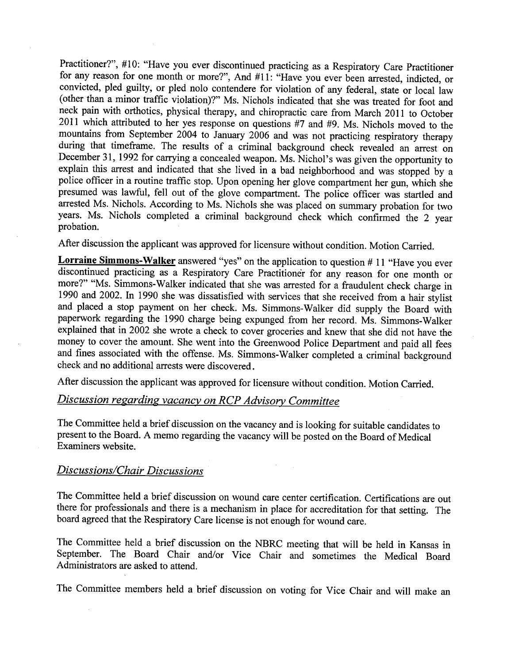Practitioner?", #10: "Have you ever discontinued practicing as a Respiratory Care Practitioner for any reason for one month or more?", And #11: "Have you ever been arrested, indicted, or convicted, pled guilty, or pled nolo contendere for violation of any federal, state or local law (other than a minor traffic violation)?" Ms. Nichols indicated that she was treated for foot and neck pain with orthotics, physical therapy, and chiropractic care from March 2011 to October 2011 which attributed to her yes response on questions #7 and #9. Ms. Nichols moved to the mountains from September 2004 to January 2006 and was not practicing respiratory therapy during that timeframe. The results of a criminal background check revealed an arrest on December 31, 1992 for carrying a concealed weapon. Ms. Nichol's was given the opportunity to explain this arrest and indicated that she lived in a bad neighborhood and was stopped by a police officer in a routine traffic stop. Upon opening her glove compartment her gun, which she presumed was lawful, fell out of the glove compartment. The police officer was startled and arrested Ms. Nichols. According to Ms. Nichols she was placed on summary probation for two years. Ms. Nichols completed a criminal background check which confirmed the 2 year probation.

After discussion the applicant was approved for licensure without condition. Motion Carried.

**Lorraine Simmons-Walker** answered "yes" on the application to question # 11 "Have you ever discontinued practicing as a Respiratory Care Practitioner for any reason for one month or more?" "Ms. Simmons-Walker indicated that she was arrested for a fraudulent check charge in 1990 and 2002. In 1990 she was dissatisfied with services that she received from a hair stylist and placed a stop payment on her check. Ms. Simmons-Walker did supply the Board with paperwork regarding the 1990 charge being expunged from her record. Ms. Simmons-Walker explained that in 2002 she wrote a check to cover groceries and knew that she did not have the money to cover the amount. She went into the Greenwood Police Department and paid all fees and fines associated with the offense. Ms. Simmons-Walker completed a criminal background check and no additional arrests were discovered.

After discussion the applicant was approved for licensure without condition. Motion Carried.

# *Discussion regarding vacancy on RCP Advisory Committee*

The Committee held a brief discussion on the vacancy and is looking for suitable candidates to present to the Board. A memo regarding the vacancy will be posted on the Board of Medical Examiners website.

#### *Discussions/Chair Discussions*

The Committee held a brief discussion on wound care center certification. Certifications are out there for professionals and there is a mechanism in place for accreditation for that setting. The board agreed that the Respiratory Care license is not enough for wound care.

The Committee held a brief discussion on the NBRC meeting that will be held in Kansas in September. The Board Chair and/or Vice Chair and sometimes the Medical Board Administrators are asked to attend.

The Committee members held a brief discussion on voting for Vice Chair and will make an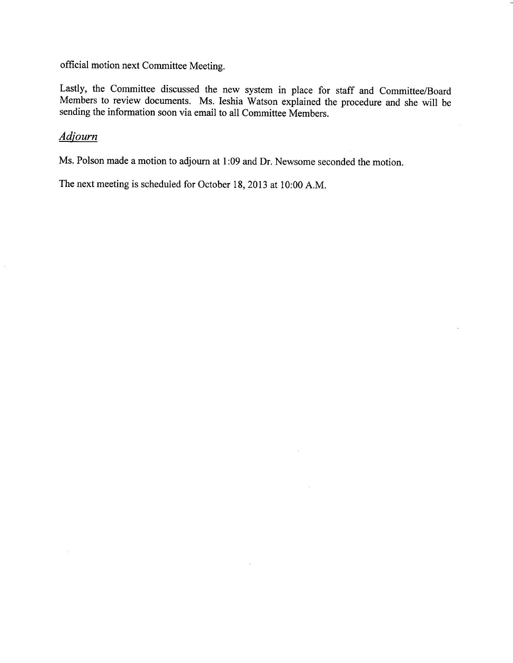official motion next Committee Meeting.

Lastly, the Committee discussed the new system in place for staff and Committee/Board Members to review documents. Ms. Ieshia Watson explained the procedure and she will be sending the information soon via email to all Committee Members.

 $\sim$ 

 $\mathcal{L}$ 

# *Adjourn*

 $\hat{\boldsymbol{\beta}}$ 

Ms. Polson made a motion to adjourn at 1:09 and Dr. Newsome seconded the motion.

The next meeting is scheduled for October 18,2013 at 10:00 A.M.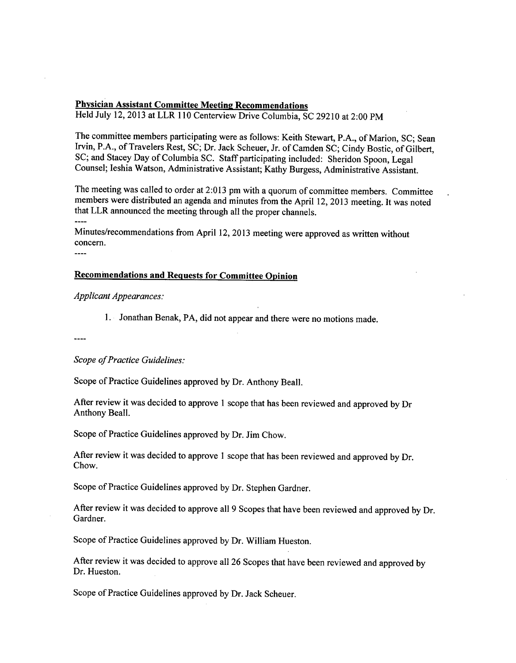#### Physician Assistant Committee Meeting Recommendations

Held July 12,2013 at LLR 110 Centerview Drive Columbia, SC 29210 at 2:00 PM

The committee members participating were as follows: Keith Stewart, P.A., of Marion, SC; Sean Irvin, P.A., of Travelers Rest, SC; Dr. Jack Scheuer, Jr. of Camden SC; Cindy Bostic, of Gilbert, SC; and Stacey Day of Columbia SC. Staff participating included: Sheridon Spoon, Legal Counsel; Ieshia Watson, Administrative Assistant; Kathy Burgess, Administrative Assistant.

The meeting was called to order at 2:013 pm with a quorum of committee members. Committee members were distributed an agenda and minutes from the April 12, 2013 meeting. It was noted that LLR announced the meeting through all the proper channels.

Minutes/recommendations from April 12, 2013 meeting were approved as written without concern.

 $\frac{1}{2}$ 

#### Recommendations and Requests for Committee Opinion

*Applicant Appearances:*

I. Jonathan Benak, PA, did not appear and there were no motions made.

*Scope of Practice Guidelines:*

Scope of Practice Guidelines approved by Dr. Anthony Beall.

After review it was decided to approve 1 scope that has been reviewed and approved by Dr Anthony Beall.

Scope of Practice Guidelines approved by Dr. Jim Chow.

After review it was decided to approve I scope that has been reviewed and approved by Dr. Chow.

Scope of Practice Guidelines approved by Dr. Stephen Gardner.

After review it was decided to approve all 9 Scopes that have been reviewed and approved by Dr. Gardner.

Scope of Practice Guidelines approved by Dr. William Hueston.

After review it was decided to approve all 26 Scopes that have been reviewed and approved by Dr. Hueston.

Scope of Practice Guidelines approved by Dr. Jack Scheuer.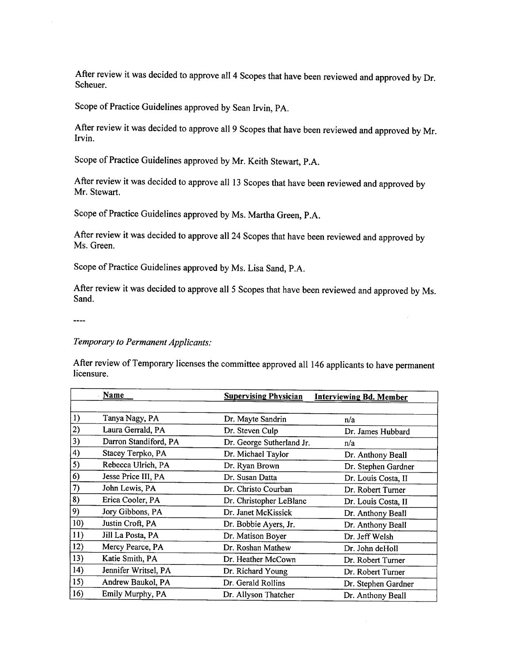After review it was decided to approve all 4 Scopes that have been reviewed and approved by Dr. Scheuer.

Scope of Practice Guidelines approved by Sean Irvin, PA.

After review it was decided to approve all 9 Scopes that have been reviewed and approved by Mr. Irvin.

Scope of Practice Guidelines approved by Mr. Keith Stewart, P.A.

After review it was decided to approve all 13 Scopes that have been reviewed and approved by Mr. Stewart.

Scope of Practice Guidelines approved by Ms. Martha Green, P.A.

After review it was decided to approve all 24 Scopes that have been reviewed and approved by Ms. Green.

Scope of Practice Guidelines approved by Ms. Lisa Sand, P.A.

After review it was decided to approve all 5 Scopes that have been reviewed and approved by Ms. Sand.

 $---$ 

## *Temporary to Permanent Applicants:*

After review of Temporary licenses the committee approved all 146 applicants to have permanent licensure.

|     | <b>Name</b>           | <b>Supervising Physician</b> | <b>Interviewing Bd. Member</b> |
|-----|-----------------------|------------------------------|--------------------------------|
|     |                       |                              |                                |
| 1)  | Tanya Nagy, PA        | Dr. Mayte Sandrin            | n/a                            |
| 2)  | Laura Gerrald, PA     | Dr. Steven Culp              | Dr. James Hubbard              |
| 3)  | Darron Standiford, PA | Dr. George Sutherland Jr.    | n/a                            |
| 4)  | Stacey Terpko, PA     | Dr. Michael Taylor           | Dr. Anthony Beall              |
| 5)  | Rebecca Ulrich, PA    | Dr. Ryan Brown               | Dr. Stephen Gardner            |
| 6)  | Jesse Price III, PA   | Dr. Susan Datta              | Dr. Louis Costa, II            |
| 7)  | John Lewis, PA        | Dr. Christo Courban          | Dr. Robert Turner              |
| 8)  | Erica Cooler, PA      | Dr. Christopher LeBlanc      | Dr. Louis Costa, II            |
| 9)  | Jory Gibbons, PA      | Dr. Janet McKissick          | Dr. Anthony Beall              |
| 10) | Justin Croft, PA      | Dr. Bobbie Ayers, Jr.        | Dr. Anthony Beall              |
| 11) | Jill La Posta, PA     | Dr. Matison Boyer            | Dr. Jeff Welsh                 |
| 12) | Mercy Pearce, PA      | Dr. Roshan Mathew            | Dr. John deHoll                |
| 13) | Katie Smith, PA       | Dr. Heather McCown           | Dr. Robert Turner              |
| 14) | Jennifer Writsel, PA  | Dr. Richard Young            | Dr. Robert Turner              |
| 15) | Andrew Baukol, PA     | Dr. Gerald Rollins           | Dr. Stephen Gardner            |
| 16) | Emily Murphy, PA      | Dr. Allyson Thatcher         | Dr. Anthony Beall              |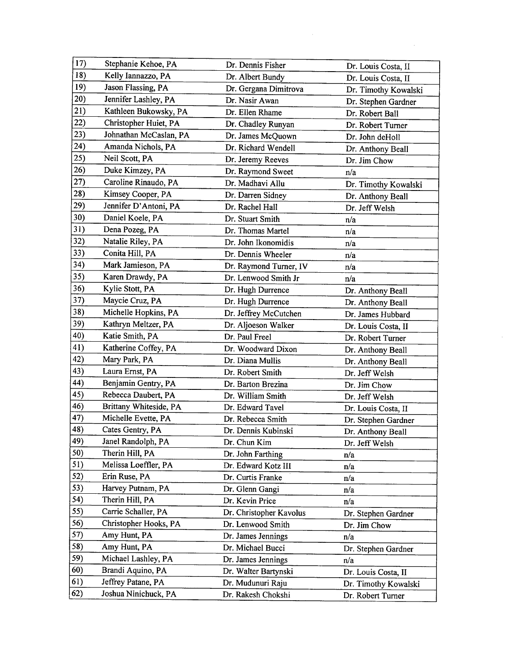| 17) | Stephanie Kehoe, PA    | Dr. Dennis Fisher       | Dr. Louis Costa, II  |
|-----|------------------------|-------------------------|----------------------|
| 18) | Kelly Iannazzo, PA     | Dr. Albert Bundy        | Dr. Louis Costa, II  |
| 19) | Jason Flassing, PA     | Dr. Gergana Dimitrova   | Dr. Timothy Kowalski |
| 20) | Jennifer Lashley, PA   | Dr. Nasir Awan          | Dr. Stephen Gardner  |
| 21) | Kathleen Bukowsky, PA  | Dr. Ellen Rhame         | Dr. Robert Ball      |
| 22) | Christopher Huiet, PA  | Dr. Chadley Runyan      | Dr. Robert Turner    |
| 23) | Johnathan McCaslan, PA | Dr. James McQuown       | Dr. John deHoll      |
| 24) | Amanda Nichols, PA     | Dr. Richard Wendell     | Dr. Anthony Beall    |
| 25) | Neil Scott, PA         | Dr. Jeremy Reeves       | Dr. Jim Chow         |
| 26) | Duke Kimzey, PA        | Dr. Raymond Sweet       | n/a                  |
| 27) | Caroline Rinaudo, PA   | Dr. Madhavi Allu        | Dr. Timothy Kowalski |
| 28) | Kimsey Cooper, PA      | Dr. Darren Sidney       | Dr. Anthony Beall    |
| 29) | Jennifer D'Antoni, PA  | Dr. Rachel Hall         | Dr. Jeff Welsh       |
| 30) | Daniel Koele, PA       | Dr. Stuart Smith        | n/a                  |
| 31) | Dena Pozeg, PA         | Dr. Thomas Martel       | n/a                  |
| 32) | Natalie Riley, PA      | Dr. John Ikonomidis     | n/a                  |
| 33) | Conita Hill, PA        | Dr. Dennis Wheeler      | n/a                  |
| 34) | Mark Jamieson, PA      | Dr. Raymond Turner, IV  | n/a                  |
| 35) | Karen Drawdy, PA       | Dr. Lenwood Smith Jr    | n/a                  |
| 36) | Kylie Stott, PA        | Dr. Hugh Durrence       | Dr. Anthony Beall    |
| 37) | Maycie Cruz, PA        | Dr. Hugh Durrence       | Dr. Anthony Beall    |
| 38) | Michelle Hopkins, PA   | Dr. Jeffrey McCutchen   | Dr. James Hubbard    |
| 39) | Kathryn Meltzer, PA    | Dr. Aljoeson Walker     | Dr. Louis Costa, II  |
| 40) | Katie Smith, PA        | Dr. Paul Freel          | Dr. Robert Turner    |
| 41) | Katherine Coffey, PA   | Dr. Woodward Dixon      | Dr. Anthony Beall    |
| 42) | Mary Park, PA          | Dr. Diana Mullis        | Dr. Anthony Beall    |
| 43) | Laura Ernst, PA        | Dr. Robert Smith        | Dr. Jeff Welsh       |
| 44) | Benjamin Gentry, PA    | Dr. Barton Brezina      | Dr. Jim Chow         |
| 45) | Rebecca Daubert, PA    | Dr. William Smith       | Dr. Jeff Welsh       |
| 46) | Brittany Whiteside, PA | Dr. Edward Tavel        | Dr. Louis Costa, II  |
| 47) | Michelle Evette, PA    | Dr. Rebecca Smith       | Dr. Stephen Gardner  |
| 48) | Cates Gentry, PA       | Dr. Dennis Kubinski     | Dr. Anthony Beall    |
| 49) | Janel Randolph, PA     | Dr. Chun Kim            | Dr. Jeff Welsh       |
| 50) | Therin Hill, PA        | Dr. John Farthing       | n/a                  |
| 51) | Melissa Loeffler, PA   | Dr. Edward Kotz III     | n/a                  |
| 52) | Erin Ruse, PA          | Dr. Curtis Franke       | n/a                  |
| 53) | Harvey Putnam, PA      | Dr. Glenn Gangi         | n/a                  |
| 54) | Therin Hill, PA        | Dr. Kevin Price         | n/a                  |
| 55) | Carrie Schaller, PA    | Dr. Christopher Kavolus | Dr. Stephen Gardner  |
| 56) | Christopher Hooks, PA  | Dr. Lenwood Smith       | Dr. Jim Chow         |
| 57) | Amy Hunt, PA           | Dr. James Jennings      | n/a                  |
| 58) | Amy Hunt, PA           | Dr. Michael Bucci       | Dr. Stephen Gardner  |
| 59) | Michael Lashley, PA    | Dr. James Jennings      | n/a                  |
| 60) | Brandi Aquino, PA      | Dr. Walter Bartynski    | Dr. Louis Costa, II  |
| 61) | Jeffrey Patane, PA     | Dr. Mudunuri Raju       | Dr. Timothy Kowalski |
| 62) | Joshua Ninichuck, PA   | Dr. Rakesh Chokshi      | Dr. Robert Turner    |
|     |                        |                         |                      |

 $\mathcal{L}^{\mathcal{L}}$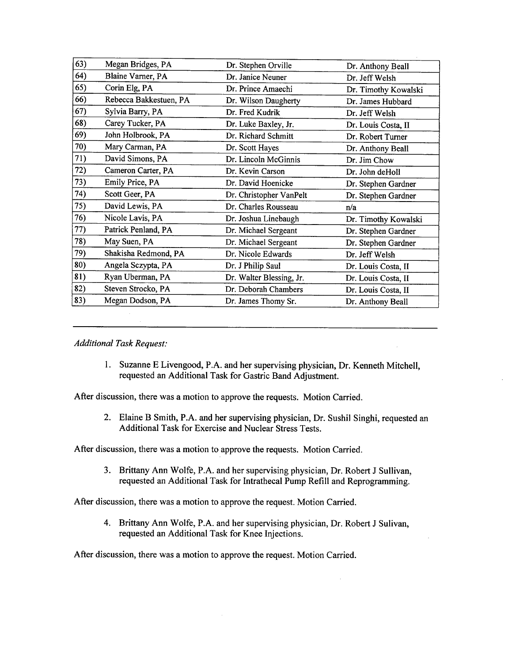| 63) | Megan Bridges, PA      | Dr. Stephen Orville      | Dr. Anthony Beall    |
|-----|------------------------|--------------------------|----------------------|
| 64) | Blaine Varner, PA      | Dr. Janice Neuner        | Dr. Jeff Welsh       |
| 65) | Corin Elg, PA          | Dr. Prince Amaechi       | Dr. Timothy Kowalski |
| 66) | Rebecca Bakkestuen, PA | Dr. Wilson Daugherty     | Dr. James Hubbard    |
| 67) | Sylvia Barry, PA       | Dr. Fred Kudrik          | Dr. Jeff Welsh       |
| 68) | Carey Tucker, PA       | Dr. Luke Baxley, Jr.     | Dr. Louis Costa, II  |
| 69) | John Holbrook, PA      | Dr. Richard Schmitt      | Dr. Robert Turner    |
| 70) | Mary Carman, PA        | Dr. Scott Hayes          | Dr. Anthony Beall    |
| 71) | David Simons, PA       | Dr. Lincoln McGinnis     | Dr. Jim Chow         |
| 72) | Cameron Carter, PA     | Dr. Kevin Carson         | Dr. John deHoll      |
| 73) | Emily Price, PA        | Dr. David Hoenicke       | Dr. Stephen Gardner  |
| 74) | Scott Geer, PA         | Dr. Christopher VanPelt  | Dr. Stephen Gardner  |
| 75) | David Lewis, PA        | Dr. Charles Rousseau     | n/a                  |
| 76) | Nicole Lavis, PA       | Dr. Joshua Linebaugh     | Dr. Timothy Kowalski |
| 77) | Patrick Penland, PA    | Dr. Michael Sergeant     | Dr. Stephen Gardner  |
| 78) | May Suen, PA           | Dr. Michael Sergeant     | Dr. Stephen Gardner  |
| 79) | Shakisha Redmond, PA   | Dr. Nicole Edwards       | Dr. Jeff Welsh       |
| 80) | Angela Sczypta, PA     | Dr. J Philip Saul        | Dr. Louis Costa, II  |
| 81) | Ryan Uberman, PA       | Dr. Walter Blessing, Jr. | Dr. Louis Costa, II  |
| 82) | Steven Strocko, PA     | Dr. Deborah Chambers     | Dr. Louis Costa, II  |
| 83) | Megan Dodson, PA       | Dr. James Thomy Sr.      | Dr. Anthony Beall    |
|     |                        |                          |                      |

*Additional Task Request:*

1. Suzanne E Livengood, P.A. and her supervising physician, Dr. Kenneth Mitchell, requested an Additional Task for Gastric Band Adjustment.

After discussion, there was a motion to approve the requests. Motion Carried.

2. Elaine B Smith, P.A. and her supervising physician, Dr. Sushil Singhi, requested an Additional Task for Exercise and Nuclear Stress Tests.

After discussion, there was a motion to approve the requests. Motion Carried.

3. Brittany Ann Wolfe, P.A. and her supervising physician, Dr. Robert J Sullivan, requested an Additional Task for Intrathecal Pump Refill and Reprogramming.

After discussion, there was a motion to approve the request. Motion Carried.

4. Brittany Ann Wolfe, P.A. and her supervising physician, Dr. Robert J Sulivan, requested an Additional Task for Knee Injections.

After discussion, there was a motion to approve the request. Motion Carried.